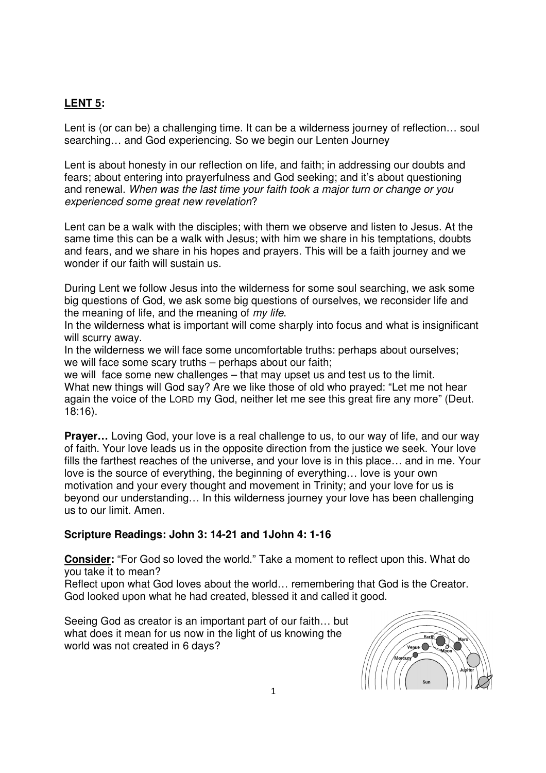## **LENT 5:**

Lent is (or can be) a challenging time. It can be a wilderness journey of reflection... soul searching… and God experiencing. So we begin our Lenten Journey

Lent is about honesty in our reflection on life, and faith; in addressing our doubts and fears; about entering into prayerfulness and God seeking; and it's about questioning and renewal. When was the last time your faith took a major turn or change or you experienced some great new revelation?

Lent can be a walk with the disciples; with them we observe and listen to Jesus. At the same time this can be a walk with Jesus; with him we share in his temptations, doubts and fears, and we share in his hopes and prayers. This will be a faith journey and we wonder if our faith will sustain us.

During Lent we follow Jesus into the wilderness for some soul searching, we ask some big questions of God, we ask some big questions of ourselves, we reconsider life and the meaning of life, and the meaning of my life.

In the wilderness what is important will come sharply into focus and what is insignificant will scurry away.

In the wilderness we will face some uncomfortable truths: perhaps about ourselves; we will face some scary truths – perhaps about our faith;

we will face some new challenges – that may upset us and test us to the limit. What new things will God say? Are we like those of old who prayed: "Let me not hear again the voice of the LORD my God, neither let me see this great fire any more" (Deut. 18:16).

**Prayer…** Loving God, your love is a real challenge to us, to our way of life, and our way of faith. Your love leads us in the opposite direction from the justice we seek. Your love fills the farthest reaches of the universe, and your love is in this place… and in me. Your love is the source of everything, the beginning of everything… love is your own motivation and your every thought and movement in Trinity; and your love for us is beyond our understanding… In this wilderness journey your love has been challenging us to our limit. Amen.

## **Scripture Readings: John 3: 14-21 and 1John 4: 1-16**

**Consider:** "For God so loved the world." Take a moment to reflect upon this. What do you take it to mean?

Reflect upon what God loves about the world… remembering that God is the Creator. God looked upon what he had created, blessed it and called it good.

Seeing God as creator is an important part of our faith… but what does it mean for us now in the light of us knowing the world was not created in 6 days?

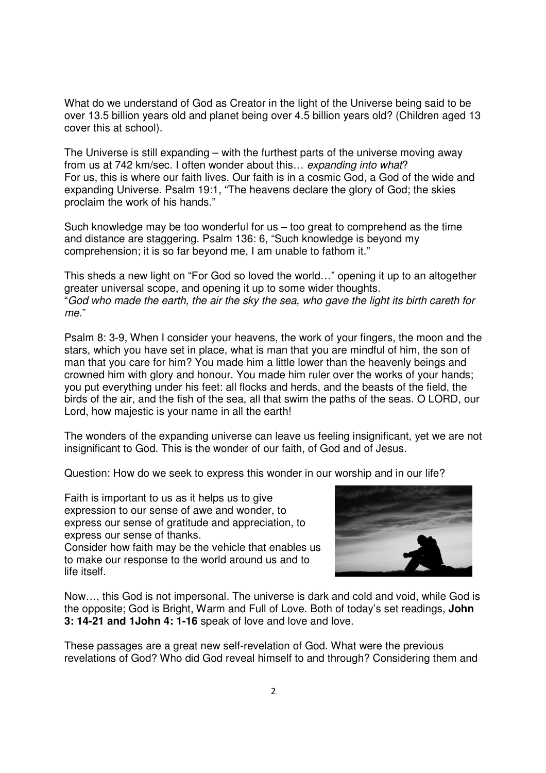What do we understand of God as Creator in the light of the Universe being said to be over 13.5 billion years old and planet being over 4.5 billion years old? (Children aged 13 cover this at school).

The Universe is still expanding – with the furthest parts of the universe moving away from us at 742 km/sec. I often wonder about this… expanding into what? For us, this is where our faith lives. Our faith is in a cosmic God, a God of the wide and expanding Universe. Psalm 19:1, "The heavens declare the glory of God; the skies proclaim the work of his hands."

Such knowledge may be too wonderful for us – too great to comprehend as the time and distance are staggering. Psalm 136: 6, "Such knowledge is beyond my comprehension; it is so far beyond me, I am unable to fathom it."

This sheds a new light on "For God so loved the world…" opening it up to an altogether greater universal scope, and opening it up to some wider thoughts. "God who made the earth, the air the sky the sea, who gave the light its birth careth for me."

Psalm 8: 3-9, When I consider your heavens, the work of your fingers, the moon and the stars, which you have set in place, what is man that you are mindful of him, the son of man that you care for him? You made him a little lower than the heavenly beings and crowned him with glory and honour. You made him ruler over the works of your hands; you put everything under his feet: all flocks and herds, and the beasts of the field, the birds of the air, and the fish of the sea, all that swim the paths of the seas. O LORD, our Lord, how majestic is your name in all the earth!

The wonders of the expanding universe can leave us feeling insignificant, yet we are not insignificant to God. This is the wonder of our faith, of God and of Jesus.

Question: How do we seek to express this wonder in our worship and in our life?

Faith is important to us as it helps us to give expression to our sense of awe and wonder, to express our sense of gratitude and appreciation, to express our sense of thanks.

Consider how faith may be the vehicle that enables us to make our response to the world around us and to life itself.



Now…, this God is not impersonal. The universe is dark and cold and void, while God is the opposite; God is Bright, Warm and Full of Love. Both of today's set readings, **John 3: 14-21 and 1John 4: 1-16** speak of love and love and love.

These passages are a great new self-revelation of God. What were the previous revelations of God? Who did God reveal himself to and through? Considering them and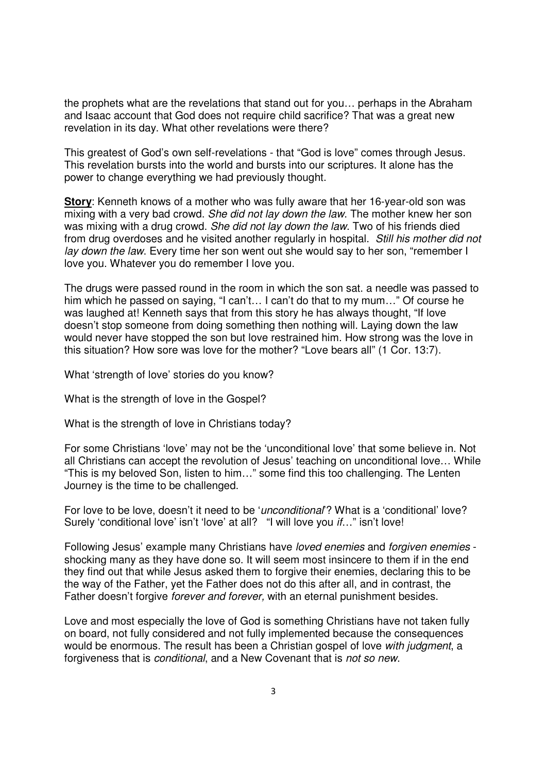the prophets what are the revelations that stand out for you… perhaps in the Abraham and Isaac account that God does not require child sacrifice? That was a great new revelation in its day. What other revelations were there?

This greatest of God's own self-revelations - that "God is love" comes through Jesus. This revelation bursts into the world and bursts into our scriptures. It alone has the power to change everything we had previously thought.

**Story**: Kenneth knows of a mother who was fully aware that her 16-year-old son was mixing with a very bad crowd. She did not lay down the law. The mother knew her son was mixing with a drug crowd. She did not lay down the law. Two of his friends died from drug overdoses and he visited another regularly in hospital. Still his mother did not lay down the law. Every time her son went out she would say to her son, "remember I love you. Whatever you do remember I love you.

The drugs were passed round in the room in which the son sat. a needle was passed to him which he passed on saying, "I can't… I can't do that to my mum…" Of course he was laughed at! Kenneth says that from this story he has always thought, "If love doesn't stop someone from doing something then nothing will. Laying down the law would never have stopped the son but love restrained him. How strong was the love in this situation? How sore was love for the mother? "Love bears all" (1 Cor. 13:7).

What 'strength of love' stories do you know?

What is the strength of love in the Gospel?

What is the strength of love in Christians today?

For some Christians 'love' may not be the 'unconditional love' that some believe in. Not all Christians can accept the revolution of Jesus' teaching on unconditional love… While "This is my beloved Son, listen to him…" some find this too challenging. The Lenten Journey is the time to be challenged.

For love to be love, doesn't it need to be 'unconditional'? What is a 'conditional' love? Surely 'conditional love' isn't 'love' at all? "I will love you *if...*" isn't love!

Following Jesus' example many Christians have loved enemies and forgiven enemies shocking many as they have done so. It will seem most insincere to them if in the end they find out that while Jesus asked them to forgive their enemies, declaring this to be the way of the Father, yet the Father does not do this after all, and in contrast, the Father doesn't forgive forever and forever, with an eternal punishment besides.

Love and most especially the love of God is something Christians have not taken fully on board, not fully considered and not fully implemented because the consequences would be enormous. The result has been a Christian gospel of love with judgment, a forgiveness that is conditional, and a New Covenant that is not so new.